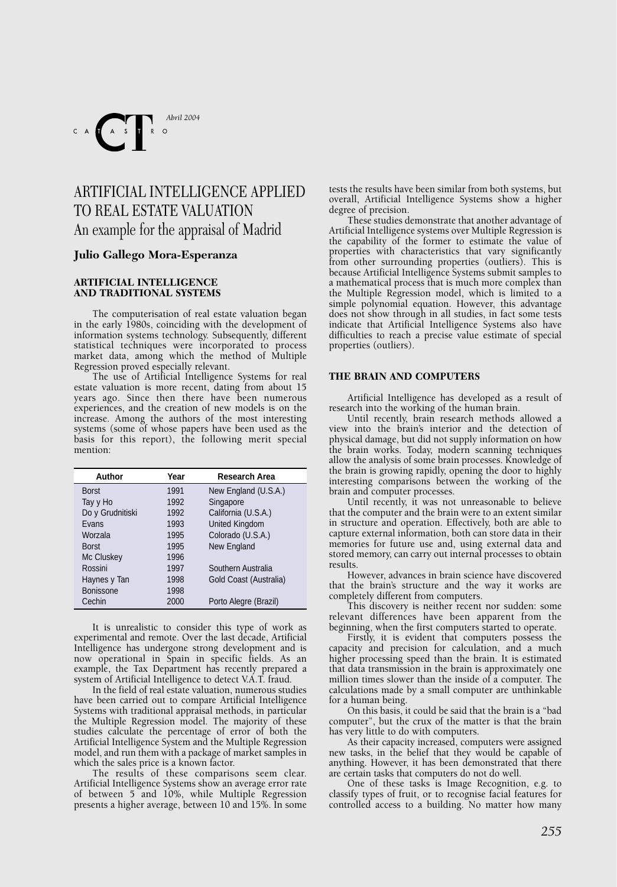

# ARTIFICIAL INTELLIGENCE APPLIED TO REAL ESTATE VALUATION An example for the appraisal of Madrid

# **Julio Gallego Mora-Esperanza**

## **ARTIFICIAL INTELLIGENCE AND TRADITIONAL SYSTEMS**

The computerisation of real estate valuation began in the early 1980s, coinciding with the development of information systems technology. Subsequently, different statistical techniques were incorporated to process market data, among which the method of Multiple Regression proved especially relevant.

The use of Artificial Intelligence Systems for real estate valuation is more recent, dating from about 15 years ago. Since then there have been numerous experiences, and the creation of new models is on the increase. Among the authors of the most interesting systems (some of whose papers have been used as the basis for this report), the following merit special mention:

| Author           | Year | Research Area          |  |
|------------------|------|------------------------|--|
| <b>Borst</b>     | 1991 | New England (U.S.A.)   |  |
| Tay y Ho         | 1992 | Singapore              |  |
| Do y Grudnitiski | 1992 | California (U.S.A.)    |  |
| Evans            | 1993 | <b>United Kingdom</b>  |  |
| Worzala          | 1995 | Colorado (U.S.A.)      |  |
| <b>Borst</b>     | 1995 | New England            |  |
| Mc Cluskey       | 1996 |                        |  |
| Rossini          | 1997 | Southern Australia     |  |
| Haynes y Tan     | 1998 | Gold Coast (Australia) |  |
| Bonissone        | 1998 |                        |  |
| Cechin           | 2000 | Porto Alegre (Brazil)  |  |

It is unrealistic to consider this type of work as experimental and remote. Over the last decade, Artificial Intelligence has undergone strong development and is now operational in Spain in specific fields. As an example, the Tax Department has recently prepared a system of Artificial Intelligence to detect V.A.T. fraud.

In the field of real estate valuation, numerous studies have been carried out to compare Artificial Intelligence Systems with traditional appraisal methods, in particular the Multiple Regression model. The majority of these studies calculate the percentage of error of both the Artificial Intelligence System and the Multiple Regression model, and run them with a package of market samples in which the sales price is a known factor.

The results of these comparisons seem clear. Artificial Intelligence Systems show an average error rate of between 5 and 10%, while Multiple Regression presents a higher average, between 10 and 15%. In some tests the results have been similar from both systems, but overall, Artificial Intelligence Systems show a higher degree of precision.

These studies demonstrate that another advantage of Artificial Intelligence systems over Multiple Regression is the capability of the former to estimate the value of properties with characteristics that vary significantly from other surrounding properties (outliers). This is because Artificial Intelligence Systems submit samples to a mathematical process that is much more complex than the Multiple Regression model, which is limited to a simple polynomial equation. However, this advantage does not show through in all studies, in fact some tests indicate that Artificial Intelligence Systems also have difficulties to reach a precise value estimate of special properties (outliers).

# **THE BRAIN AND COMPUTERS**

Artificial Intelligence has developed as a result of research into the working of the human brain.

Until recently, brain research methods allowed a view into the brain's interior and the detection of physical damage, but did not supply information on how the brain works. Today, modern scanning techniques allow the analysis of some brain processes. Knowledge of the brain is growing rapidly, opening the door to highly interesting comparisons between the working of the brain and computer processes.

Until recently, it was not unreasonable to believe that the computer and the brain were to an extent similar in structure and operation. Effectively, both are able to capture external information, both can store data in their memories for future use and, using external data and stored memory, can carry out internal processes to obtain results.

However, advances in brain science have discovered that the brain's structure and the way it works are completely different from computers.

This discovery is neither recent nor sudden: some relevant differences have been apparent from the beginning, when the first computers started to operate.

Firstly, it is evident that computers possess the capacity and precision for calculation, and a much higher processing speed than the brain. It is estimated that data transmission in the brain is approximately one million times slower than the inside of a computer. The calculations made by a small computer are unthinkable for a human being.

On this basis, it could be said that the brain is a "bad computer", but the crux of the matter is that the brain has very little to do with computers.

As their capacity increased, computers were assigned new tasks, in the belief that they would be capable of anything. However, it has been demonstrated that there are certain tasks that computers do not do well.

One of these tasks is Image Recognition, e.g. to classify types of fruit, or to recognise facial features for controlled access to a building. No matter how many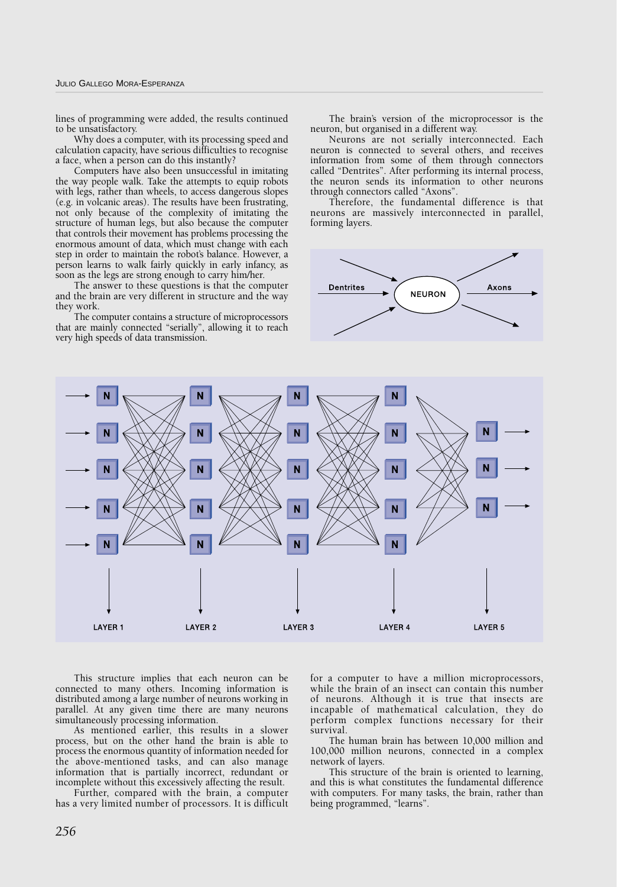lines of programming were added, the results continued to be unsatisfactory.

Why does a computer, with its processing speed and calculation capacity, have serious difficulties to recognise a face, when a person can do this instantly?

Computers have also been unsuccessful in imitating the way people walk. Take the attempts to equip robots with legs, rather than wheels, to access dangerous slopes (e.g. in volcanic areas). The results have been frustrating, not only because of the complexity of imitating the structure of human legs, but also because the computer that controls their movement has problems processing the enormous amount of data, which must change with each step in order to maintain the robot's balance. However, a person learns to walk fairly quickly in early infancy, as soon as the legs are strong enough to carry him/her.

The answer to these questions is that the computer and the brain are very different in structure and the way they work.

The computer contains a structure of microprocessors that are mainly connected "serially", allowing it to reach very high speeds of data transmission.

The brain's version of the microprocessor is the neuron, but organised in a different way.

Neurons are not serially interconnected. Each neuron is connected to several others, and receives information from some of them through connectors called "Dentrites". After performing its internal process, the neuron sends its information to other neurons through connectors called "Axons".

Therefore, the fundamental difference is that neurons are massively interconnected in parallel, forming layers.





This structure implies that each neuron can be connected to many others. Incoming information is distributed among a large number of neurons working in parallel. At any given time there are many neurons simultaneously processing information.

As mentioned earlier, this results in a slower process, but on the other hand the brain is able to process the enormous quantity of information needed for the above-mentioned tasks, and can also manage information that is partially incorrect, redundant or incomplete without this excessively affecting the result.

Further, compared with the brain, a computer has a very limited number of processors. It is difficult

for a computer to have a million microprocessors, while the brain of an insect can contain this number of neurons. Although it is true that insects are incapable of mathematical calculation, they do perform complex functions necessary for their survival.

The human brain has between 10,000 million and 100,000 million neurons, connected in a complex network of layers.

This structure of the brain is oriented to learning, and this is what constitutes the fundamental difference with computers. For many tasks, the brain, rather than being programmed, "learns".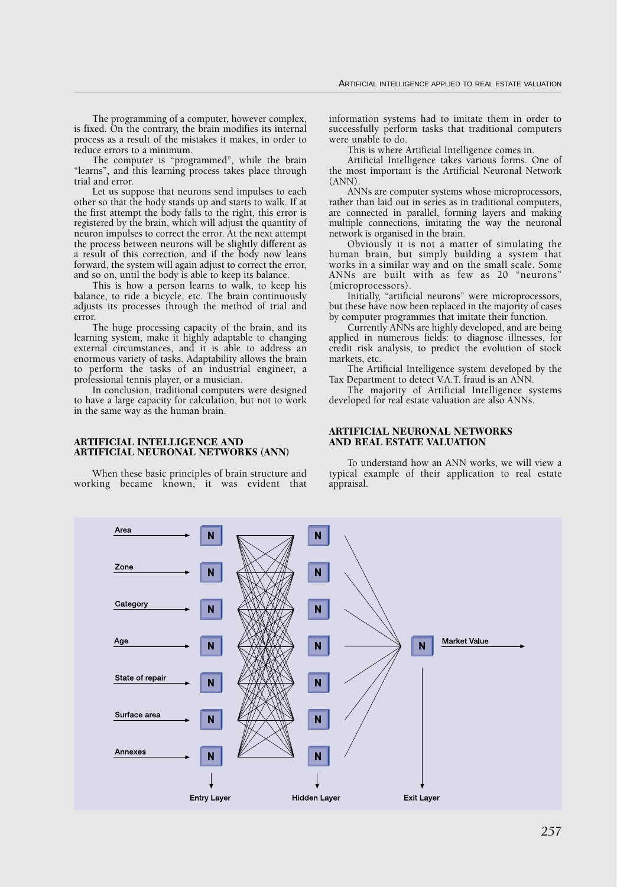The programming of a computer, however complex, is fixed. On the contrary, the brain modifies its internal process as a result of the mistakes it makes, in order to reduce errors to a minimum.

The computer is "programmed", while the brain "learns", and this learning process takes place through trial and error.

Let us suppose that neurons send impulses to each other so that the body stands up and starts to walk. If at the first attempt the body falls to the right, this error is registered by the brain, which will adjust the quantity of neuron impulses to correct the error. At the next attempt the process between neurons will be slightly different as a result of this correction, and if the body now leans forward, the system will again adjust to correct the error, and so on, until the body is able to keep its balance.

This is how a person learns to walk, to keep his balance, to ride a bicycle, etc. The brain continuously adjusts its processes through the method of trial and error.

The huge processing capacity of the brain, and its learning system, make it highly adaptable to changing external circumstances, and it is able to address an enormous variety of tasks. Adaptability allows the brain to perform the tasks of an industrial engineer, a professional tennis player, or a musician.

In conclusion, traditional computers were designed to have a large capacity for calculation, but not to work in the same way as the human brain.

#### **ARTIFICIAL INTELLIGENCE AND ARTIFICIAL NEURONAL NETWORKS (ANN)**

When these basic principles of brain structure and working became known, it was evident that information systems had to imitate them in order to successfully perform tasks that traditional computers were unable to do.

This is where Artificial Intelligence comes in.

Artificial Intelligence takes various forms. One of the most important is the Artificial Neuronal Network  $(ANN)$ 

ANNs are computer systems whose microprocessors, rather than laid out in series as in traditional computers, are connected in parallel, forming layers and making multiple connections, imitating the way the neuronal network is organised in the brain.

Obviously it is not a matter of simulating the human brain, but simply building a system that works in a similar way and on the small scale. Some ANNs are built with as few as 20 "neurons" (microprocessors).

Initially, "artificial neurons" were microprocessors, but these have now been replaced in the majority of cases by computer programmes that imitate their function.

Currently ANNs are highly developed, and are being applied in numerous fields: to diagnose illnesses, for credit risk analysis, to predict the evolution of stock markets, etc.

The Artificial Intelligence system developed by the Tax Department to detect V.A.T. fraud is an ANN.

The majority of Artificial Intelligence systems developed for real estate valuation are also ANNs.

## **ARTIFICIAL NEURONAL NETWORKS AND REAL ESTATE VALUATION**

To understand how an ANN works, we will view a typical example of their application to real estate appraisal.

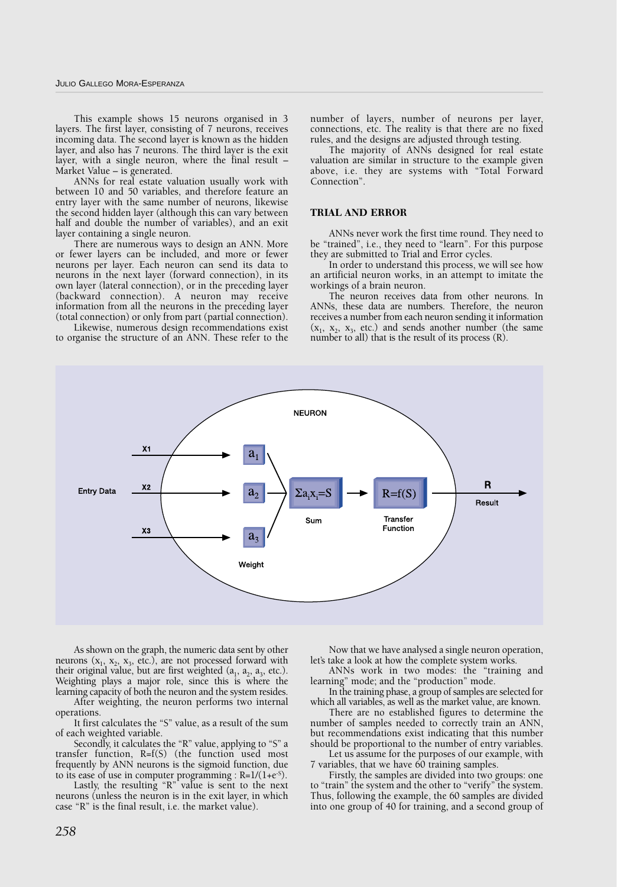This example shows 15 neurons organised in 3 layers. The first layer, consisting of 7 neurons, receives incoming data. The second layer is known as the hidden layer, and also has 7 neurons. The third layer is the exit layer, with a single neuron, where the final result – Market Value – is generated.

ANNs for real estate valuation usually work with between 10 and 50 variables, and therefore feature an entry layer with the same number of neurons, likewise the second hidden layer (although this can vary between half and double the number of variables), and an exit layer containing a single neuron.

There are numerous ways to design an ANN. More or fewer layers can be included, and more or fewer neurons per layer. Each neuron can send its data to neurons in the next layer (forward connection), in its own layer (lateral connection), or in the preceding layer (backward connection). A neuron may receive information from all the neurons in the preceding layer (total connection) or only from part (partial connection).

Likewise, numerous design recommendations exist to organise the structure of an ANN. These refer to the

number of layers, number of neurons per layer, connections, etc. The reality is that there are no fixed rules, and the designs are adjusted through testing.

The majority of ANNs designed for real estate valuation are similar in structure to the example given above, i.e. they are systems with "Total Forward Connection".

#### **TRIAL AND ERROR**

ANNs never work the first time round. They need to be "trained", i.e., they need to "learn". For this purpose they are submitted to Trial and Error cycles.

In order to understand this process, we will see how an artificial neuron works, in an attempt to imitate the workings of a brain neuron.

The neuron receives data from other neurons. In ANNs, these data are numbers. Therefore, the neuron receives a number from each neuron sending it information  $(x_1, x_2, x_3,$  etc.) and sends another number (the same number to all) that is the result of its process (R).



As shown on the graph, the numeric data sent by other neurons  $(x_1, x_2, x_3,$  etc.), are not processed forward with their original value, but are first weighted  $(a_1, a_2, a_3,$  etc.). Weighting plays a major role, since this is where the learning capacity of both the neuron and the system resides.

After weighting, the neuron performs two internal operations.

It first calculates the "S" value, as a result of the sum of each weighted variable.

Secondly, it calculates the "R" value, applying to "S" a transfer function, R=f(S) (the function used most frequently by ANN neurons is the sigmoid function, due to its ease of use in computer programming :  $R=1/(1+e^{-5})$ .

Lastly, the resulting "R" value is sent to the next neurons (unless the neuron is in the exit layer, in which case "R" is the final result, i.e. the market value).

Now that we have analysed a single neuron operation, let's take a look at how the complete system works.

ANNs work in two modes: the "training and learning" mode; and the "production" mode.

In the training phase, a group of samples are selected for which all variables, as well as the market value, are known.

There are no established figures to determine the number of samples needed to correctly train an ANN, but recommendations exist indicating that this number should be proportional to the number of entry variables.

Let us assume for the purposes of our example, with 7 variables, that we have 60 training samples.

Firstly, the samples are divided into two groups: one to "train" the system and the other to "verify" the system. Thus, following the example, the 60 samples are divided into one group of 40 for training, and a second group of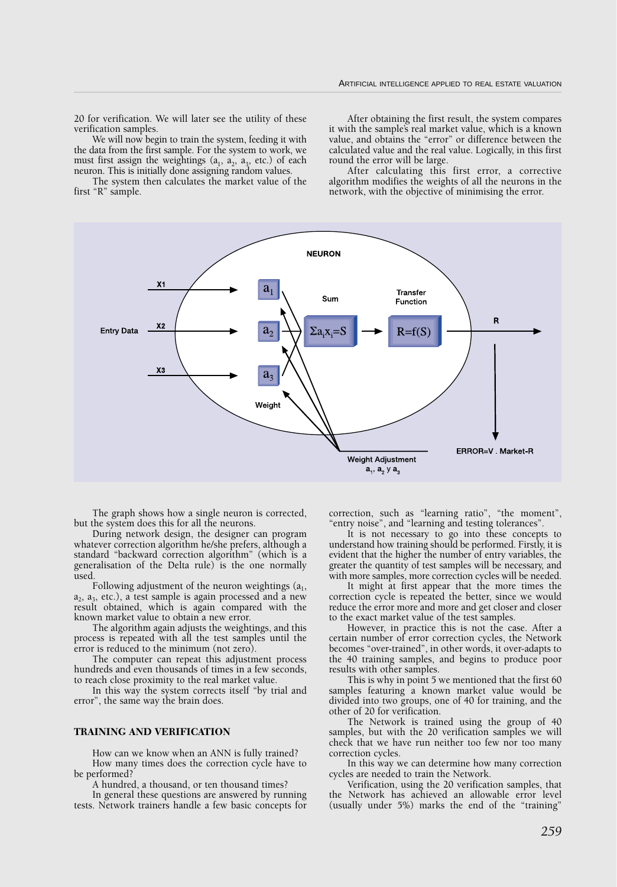20 for verification. We will later see the utility of these verification samples.

We will now begin to train the system, feeding it with the data from the first sample. For the system to work, we must first assign the weightings  $(a_1, a_2, a_3, \text{ etc.})$  of each neuron. This is initially done assigning random values.

The system then calculates the market value of the first "R" sample.

After obtaining the first result, the system compares it with the sample's real market value, which is a known value, and obtains the "error" or difference between the calculated value and the real value. Logically, in this first round the error will be large.

After calculating this first error, a corrective algorithm modifies the weights of all the neurons in the network, with the objective of minimising the error.



The graph shows how a single neuron is corrected, but the system does this for all the neurons.

During network design, the designer can program whatever correction algorithm he/she prefers, although a standard "backward correction algorithm" (which is a generalisation of the Delta rule) is the one normally used.

Following adjustment of the neuron weightings  $(a_1, a_2)$  $a_2$ ,  $a_3$ , etc.), a test sample is again processed and a new result obtained, which is again compared with the known market value to obtain a new error.

The algorithm again adjusts the weightings, and this process is repeated with all the test samples until the error is reduced to the minimum (not zero).

The computer can repeat this adjustment process hundreds and even thousands of times in a few seconds, to reach close proximity to the real market value.

In this way the system corrects itself "by trial and error", the same way the brain does.

#### **TRAINING AND VERIFICATION**

How can we know when an ANN is fully trained? How many times does the correction cycle have to be performed?

A hundred, a thousand, or ten thousand times?

In general these questions are answered by running tests. Network trainers handle a few basic concepts for correction, such as "learning ratio", "the moment", "entry noise", and "learning and testing tolerances".

It is not necessary to go into these concepts to understand how training should be performed. Firstly, it is evident that the higher the number of entry variables, the greater the quantity of test samples will be necessary, and with more samples, more correction cycles will be needed.

It might at first appear that the more times the correction cycle is repeated the better, since we would reduce the error more and more and get closer and closer to the exact market value of the test samples.

However, in practice this is not the case. After a certain number of error correction cycles, the Network becomes "over-trained", in other words, it over-adapts to the 40 training samples, and begins to produce poor results with other samples.

This is why in point 5 we mentioned that the first 60 samples featuring a known market value would be divided into two groups, one of 40 for training, and the other of 20 for verification.

The Network is trained using the group of 40 samples, but with the 20 verification samples we will check that we have run neither too few nor too many correction cycles.

In this way we can determine how many correction cycles are needed to train the Network.

Verification, using the 20 verification samples, that the Network has achieved an allowable error level (usually under 5%) marks the end of the "training"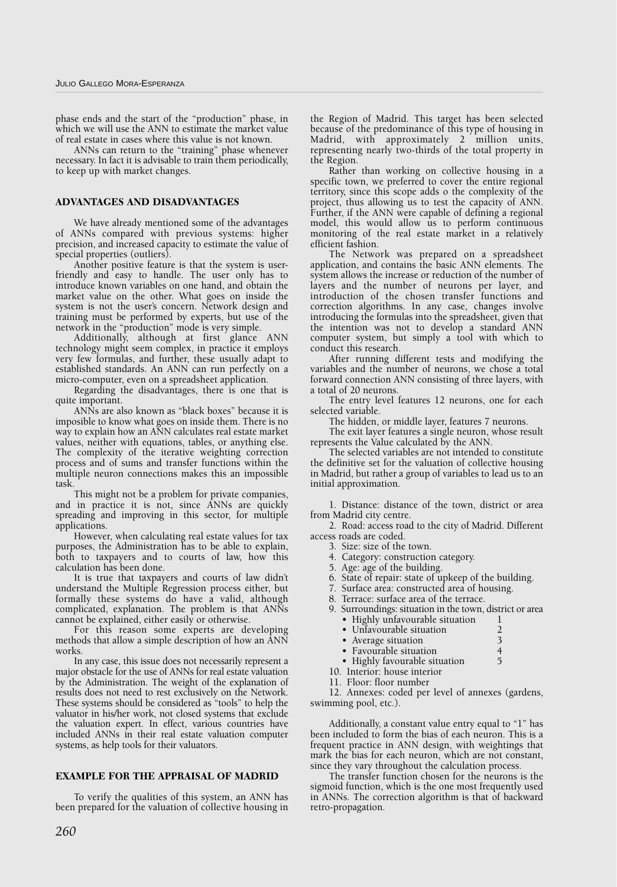phase ends and the start of the "production" phase, in which we will use the ANN to estimate the market value of real estate in cases where this value is not known.

ANNs can return to the "training" phase whenever necessary. In fact it is advisable to train them periodically, to keep up with market changes.

# **ADVANTAGES AND DISADVANTAGES**

We have already mentioned some of the advantages of ANNs compared with previous systems: higher precision, and increased capacity to estimate the value of special properties (outliers).

Another positive feature is that the system is userfriendly and easy to handle. The user only has to introduce known variables on one hand, and obtain the market value on the other. What goes on inside the system is not the user's concern. Network design and training must be performed by experts, but use of the network in the "production" mode is very simple.

Additionally, although at first glance ANN technology might seem complex, in practice it employs very few formulas, and further, these usually adapt to established standards. An ANN can run perfectly on a micro-computer, even on a spreadsheet application.

Regarding the disadvantages, there is one that is quite important.

ANNs are also known as "black boxes" because it is imposible to know what goes on inside them. There is no way to explain how an ANN calculates real estate market values, neither with equations, tables, or anything else. The complexity of the iterative weighting correction process and of sums and transfer functions within the multiple neuron connections makes this an impossible task.

This might not be a problem for private companies, and in practice it is not, since ANNs are quickly spreading and improving in this sector, for multiple applications.

However, when calculating real estate values for tax purposes, the Administration has to be able to explain, both to taxpayers and to courts of law, how this calculation has been done.

It is true that taxpayers and courts of law didn't understand the Multiple Regression process either, but formally these systems do have a valid, although complicated, explanation. The problem is that ANNs cannot be explained, either easily or otherwise.

For this reason some experts are developing methods that allow a simple description of how an ANN works.

In any case, this issue does not necessarily represent a major obstacle for the use of ANNs for real estate valuation by the Administration. The weight of the explanation of results does not need to rest exclusively on the Network. These systems should be considered as "tools" to help the valuator in his/her work, not closed systems that exclude the valuation expert. In effect, various countries have included ANNs in their real estate valuation computer systems, as help tools for their valuators.

# **EXAMPLE FOR THE APPRAISAL OF MADRID**

To verify the qualities of this system, an ANN has been prepared for the valuation of collective housing in the Region of Madrid. This target has been selected because of the predominance of this type of housing in Madrid, with approximately 2 million units, representing nearly two-thirds of the total property in the Region.

Rather than working on collective housing in a specific town, we preferred to cover the entire regional territory, since this scope adds o the complexity of the project, thus allowing us to test the capacity of ANN. Further, if the ANN were capable of defining a regional model, this would allow us to perform continuous monitoring of the real estate market in a relatively efficient fashion.

The Network was prepared on a spreadsheet application, and contains the basic ANN elements. The system allows the increase or reduction of the number of layers and the number of neurons per layer, and introduction of the chosen transfer functions and correction algorithms. In any case, changes involve introducing the formulas into the spreadsheet, given that the intention was not to develop a standard ANN computer system, but simply a tool with which to conduct this research.

After running different tests and modifying the variables and the number of neurons, we chose a total forward connection ANN consisting of three layers, with a total of 20 neurons.

The entry level features 12 neurons, one for each selected variable.

The hidden, or middle layer, features 7 neurons.

The exit layer features a single neuron, whose result represents the Value calculated by the ANN.

The selected variables are not intended to constitute the definitive set for the valuation of collective housing in Madrid, but rather a group of variables to lead us to an initial approximation.

1. Distance: distance of the town, district or area from Madrid city centre.

2. Road: access road to the city of Madrid. Different access roads are coded.

- 3. Size: size of the town.
- 4. Category: construction category.
- 5. Age: age of the building.
- 6. State of repair: state of upkeep of the building.
- 7. Surface area: constructed area of housing.
- 8. Terrace: surface area of the terrace.
- 9. Surroundings: situation in the town, district or area • Highly unfavourable situation

| Theme and voulance sheathoff |  |
|------------------------------|--|
| • Unfavourable situation     |  |
|                              |  |

- Average situation 3<br>• Favourable situation 4
- Favourable situation 4<br>• Highly favourable situation 5
- Highly favourable situation 10. Interior: house interior
- 11. Floor: floor number
- 

12. Annexes: coded per level of annexes (gardens, swimming pool, etc.).

Additionally, a constant value entry equal to "1" has been included to form the bias of each neuron. This is a frequent practice in ANN design, with weightings that mark the bias for each neuron, which are not constant, since they vary throughout the calculation process.

The transfer function chosen for the neurons is the sigmoid function, which is the one most frequently used in ANNs. The correction algorithm is that of backward retro-propagation.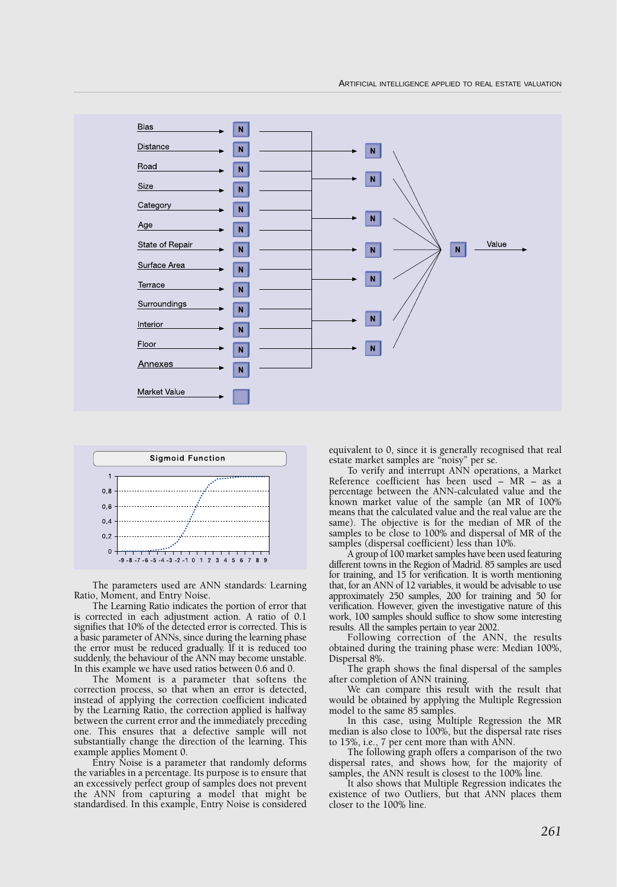



The parameters used are ANN standards: Learning Ratio, Moment, and Entry Noise.

The Learning Ratio indicates the portion of error that is corrected in each adjustment action. A ratio of 0.1 signifies that 10% of the detected error is corrected. This is a basic parameter of ANNs, since during the learning phase the error must be reduced gradually. If it is reduced too suddenly, the behaviour of the ANN may become unstable. In this example we have used ratios between 0.6 and 0.

The Moment is a parameter that softens the correction process, so that when an error is detected, instead of applying the correction coefficient indicated by the Learning Ratio, the correction applied is halfway between the current error and the immediately preceding one. This ensures that a defective sample will not substantially change the direction of the learning. This example applies Moment 0.

Entry Noise is a parameter that randomly deforms the variables in a percentage. Its purpose is to ensure that an excessively perfect group of samples does not prevent the ANN from capturing a model that might be standardised. In this example, Entry Noise is considered

equivalent to 0, since it is generally recognised that real estate market samples are "noisy" per se.

To verify and interrupt ANN operations, a Market Reference coefficient has been used – MR – as a percentage between the ANN-calculated value and the known market value of the sample (an MR of 100% means that the calculated value and the real value are the same). The objective is for the median of MR of the samples to be close to 100% and dispersal of MR of the samples (dispersal coefficient) less than 10%.

A group of 100 market samples have been used featuring different towns in the Region of Madrid. 85 samples are used for training, and 15 for verification. It is worth mentioning that, for an ANN of 12 variables, it would be advisable to use approximately 250 samples, 200 for training and 50 for verification. However, given the investigative nature of this work, 100 samples should suffice to show some interesting results. All the samples pertain to year 2002.

Following correction of the ANN, the results obtained during the training phase were: Median 100%, Dispersal 8%.

The graph shows the final dispersal of the samples after completion of ANN training.

We can compare this result with the result that would be obtained by applying the Multiple Regression model to the same 85 samples.

In this case, using Multiple Regression the MR median is also close to 100%, but the dispersal rate rises to 15%, i.e., 7 per cent more than with ANN.

The following graph offers a comparison of the two dispersal rates, and shows how, for the majority of samples, the ANN result is closest to the 100% line.

It also shows that Multiple Regression indicates the existence of two Outliers, but that ANN places them closer to the 100% line.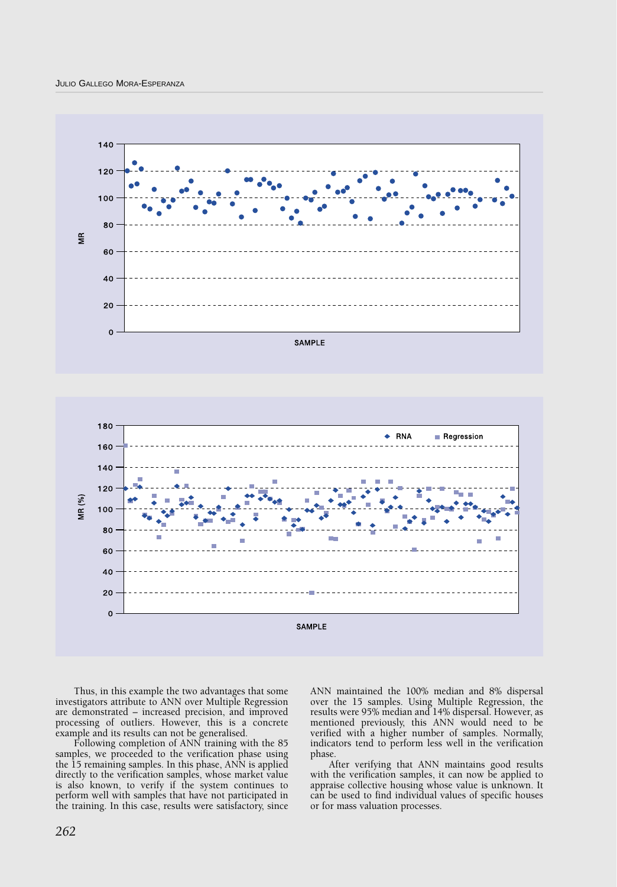





Thus, in this example the two advantages that some investigators attribute to ANN over Multiple Regression are demonstrated – increased precision, and improved processing of outliers. However, this is a concrete example and its results can not be generalised.

Following completion of ANN training with the 85 samples, we proceeded to the verification phase using the 15 remaining samples. In this phase, ANN is applied directly to the verification samples, whose market value is also known, to verify if the system continues to perform well with samples that have not participated in the training. In this case, results were satisfactory, since

ANN maintained the 100% median and 8% dispersal over the 15 samples. Using Multiple Regression, the results were 95% median and 14% dispersal. However, as mentioned previously, this ANN would need to be verified with a higher number of samples. Normally, indicators tend to perform less well in the verification phase.

After verifying that ANN maintains good results with the verification samples, it can now be applied to appraise collective housing whose value is unknown. It can be used to find individual values of specific houses or for mass valuation processes.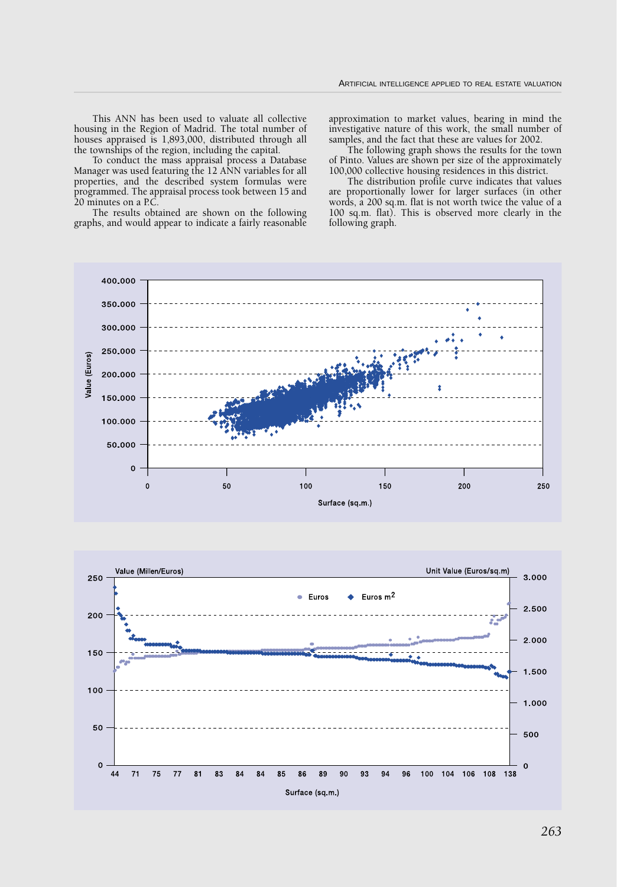This ANN has been used to valuate all collective housing in the Region of Madrid. The total number of houses appraised is 1,893,000, distributed through all the townships of the region, including the capital.

To conduct the mass appraisal process a Database Manager was used featuring the 12 ANN variables for all properties, and the described system formulas were programmed. The appraisal process took between 15 and 20 minutes on a P.C.

The results obtained are shown on the following graphs, and would appear to indicate a fairly reasonable

approximation to market values, bearing in mind the investigative nature of this work, the small number of samples, and the fact that these are values for 2002.

The following graph shows the results for the town of Pinto. Values are shown per size of the approximately 100,000 collective housing residences in this district.

The distribution profile curve indicates that values are proportionally lower for larger surfaces (in other words, a 200 sq.m. flat is not worth twice the value of a 100 sq.m. flat). This is observed more clearly in the following graph.



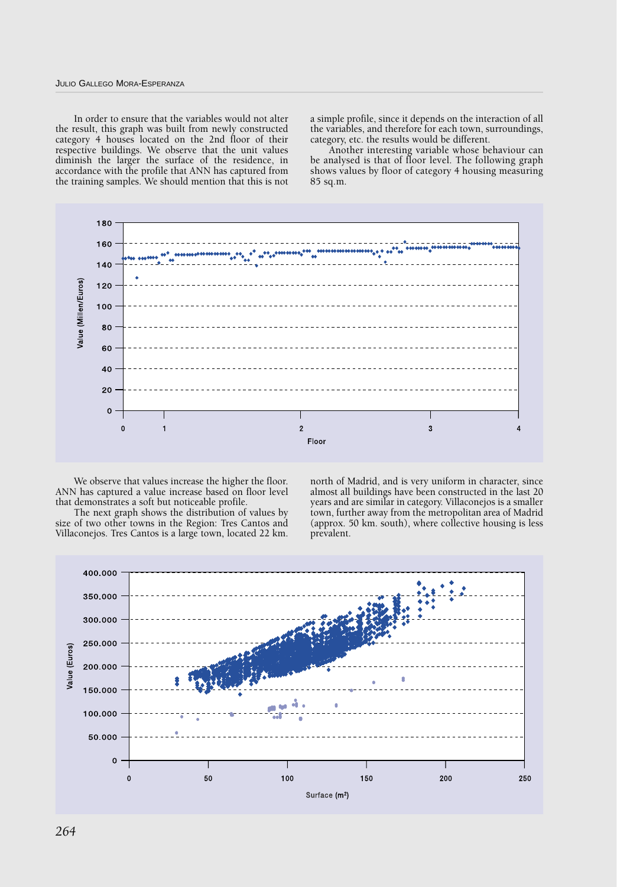## JULIO GALLEGO MORA-ESPERANZA

In order to ensure that the variables would not alter the result, this graph was built from newly constructed category 4 houses located on the 2nd floor of their respective buildings. We observe that the unit values diminish the larger the surface of the residence, in accordance with the profile that ANN has captured from the training samples. We should mention that this is not

a simple profile, since it depends on the interaction of all the variables, and therefore for each town, surroundings, category, etc. the results would be different.

Another interesting variable whose behaviour can be analysed is that of floor level. The following graph shows values by floor of category 4 housing measuring 85 sq.m.



We observe that values increase the higher the floor. ANN has captured a value increase based on floor level that demonstrates a soft but noticeable profile.

The next graph shows the distribution of values by size of two other towns in the Region: Tres Cantos and Villaconejos. Tres Cantos is a large town, located 22 km. north of Madrid, and is very uniform in character, since almost all buildings have been constructed in the last 20 years and are similar in category. Villaconejos is a smaller town, further away from the metropolitan area of Madrid (approx. 50 km. south), where collective housing is less prevalent.